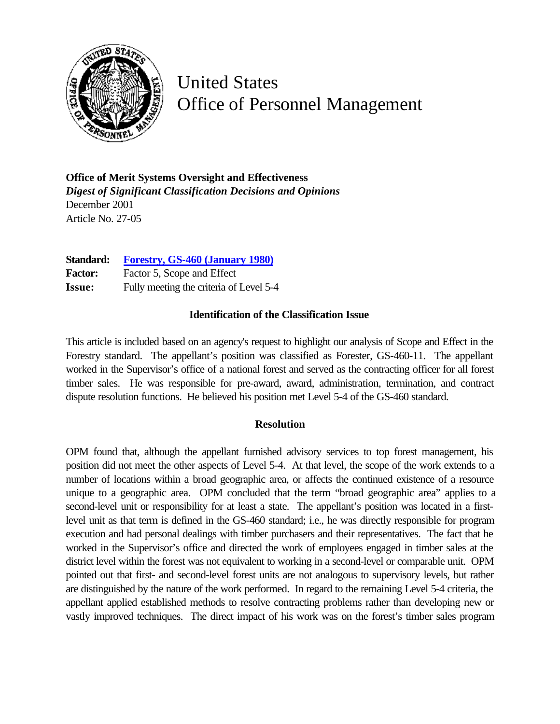

## United States Office of Personnel Management

**Office of Merit Systems Oversight and Effectiveness** *Digest of Significant Classification Decisions and Opinions* December 2001 Article No. 27-05

**Standard: [Forestry, GS-460 \(January 1980\)](http://www.opm.gov/fedclass/gs0460.pdf)** Factor: Factor 5, Scope and Effect **Issue:** Fully meeting the criteria of Level 5-4

## **Identification of the Classification Issue**

This article is included based on an agency's request to highlight our analysis of Scope and Effect in the Forestry standard. The appellant's position was classified as Forester, GS-460-11. The appellant worked in the Supervisor's office of a national forest and served as the contracting officer for all forest timber sales. He was responsible for pre-award, award, administration, termination, and contract dispute resolution functions. He believed his position met Level 5-4 of the GS-460 standard.

## **Resolution**

OPM found that, although the appellant furnished advisory services to top forest management, his position did not meet the other aspects of Level 5-4. At that level, the scope of the work extends to a number of locations within a broad geographic area, or affects the continued existence of a resource unique to a geographic area. OPM concluded that the term "broad geographic area" applies to a second-level unit or responsibility for at least a state. The appellant's position was located in a firstlevel unit as that term is defined in the GS-460 standard; i.e., he was directly responsible for program execution and had personal dealings with timber purchasers and their representatives. The fact that he worked in the Supervisor's office and directed the work of employees engaged in timber sales at the district level within the forest was not equivalent to working in a second-level or comparable unit. OPM pointed out that first- and second-level forest units are not analogous to supervisory levels, but rather are distinguished by the nature of the work performed. In regard to the remaining Level 5-4 criteria, the appellant applied established methods to resolve contracting problems rather than developing new or vastly improved techniques. The direct impact of his work was on the forest's timber sales program